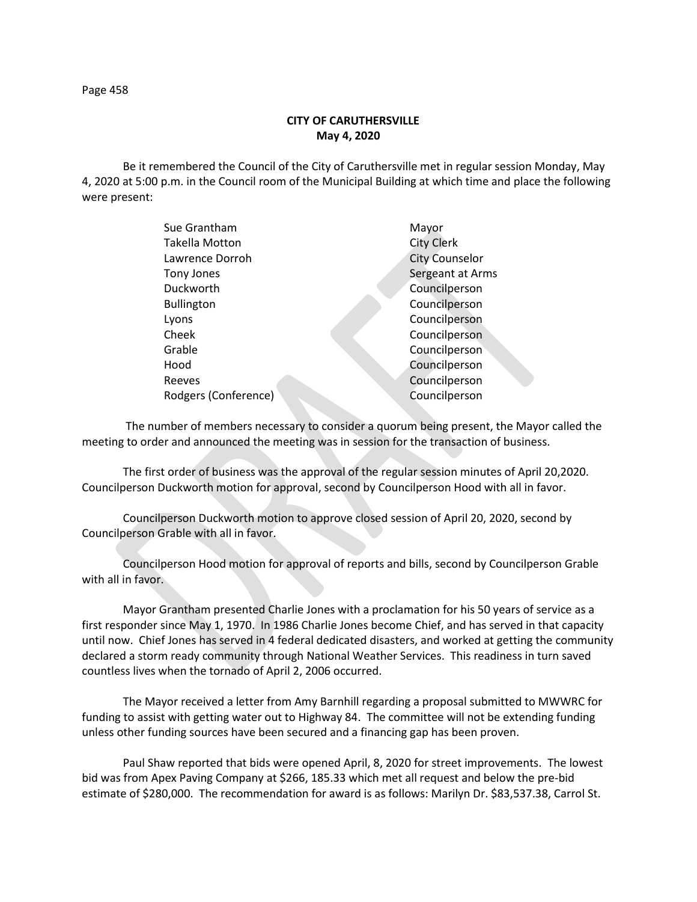Page 458

## **CITY OF CARUTHERSVILLE May 4, 2020**

Be it remembered the Council of the City of Caruthersville met in regular session Monday, May 4, 2020 at 5:00 p.m. in the Council room of the Municipal Building at which time and place the following were present:

| Sue Grantham          | Mayor                 |
|-----------------------|-----------------------|
| <b>Takella Motton</b> | <b>City Clerk</b>     |
| Lawrence Dorroh       | <b>City Counselor</b> |
| Tony Jones            | Sergeant at Arms      |
| Duckworth             | Councilperson         |
| <b>Bullington</b>     | Councilperson         |
| Lyons                 | Councilperson         |
| Cheek                 | Councilperson         |
| Grable                | Councilperson         |
| Hood                  | Councilperson         |
| Reeves                | Councilperson         |
| Rodgers (Conference)  | Councilperson         |
|                       |                       |

 The number of members necessary to consider a quorum being present, the Mayor called the meeting to order and announced the meeting was in session for the transaction of business.

The first order of business was the approval of the regular session minutes of April 20,2020. Councilperson Duckworth motion for approval, second by Councilperson Hood with all in favor.

Councilperson Duckworth motion to approve closed session of April 20, 2020, second by Councilperson Grable with all in favor.

Councilperson Hood motion for approval of reports and bills, second by Councilperson Grable with all in favor.

Mayor Grantham presented Charlie Jones with a proclamation for his 50 years of service as a first responder since May 1, 1970. In 1986 Charlie Jones become Chief, and has served in that capacity until now. Chief Jones has served in 4 federal dedicated disasters, and worked at getting the community declared a storm ready community through National Weather Services. This readiness in turn saved countless lives when the tornado of April 2, 2006 occurred.

The Mayor received a letter from Amy Barnhill regarding a proposal submitted to MWWRC for funding to assist with getting water out to Highway 84. The committee will not be extending funding unless other funding sources have been secured and a financing gap has been proven.

Paul Shaw reported that bids were opened April, 8, 2020 for street improvements. The lowest bid was from Apex Paving Company at \$266, 185.33 which met all request and below the pre-bid estimate of \$280,000. The recommendation for award is as follows: Marilyn Dr. \$83,537.38, Carrol St.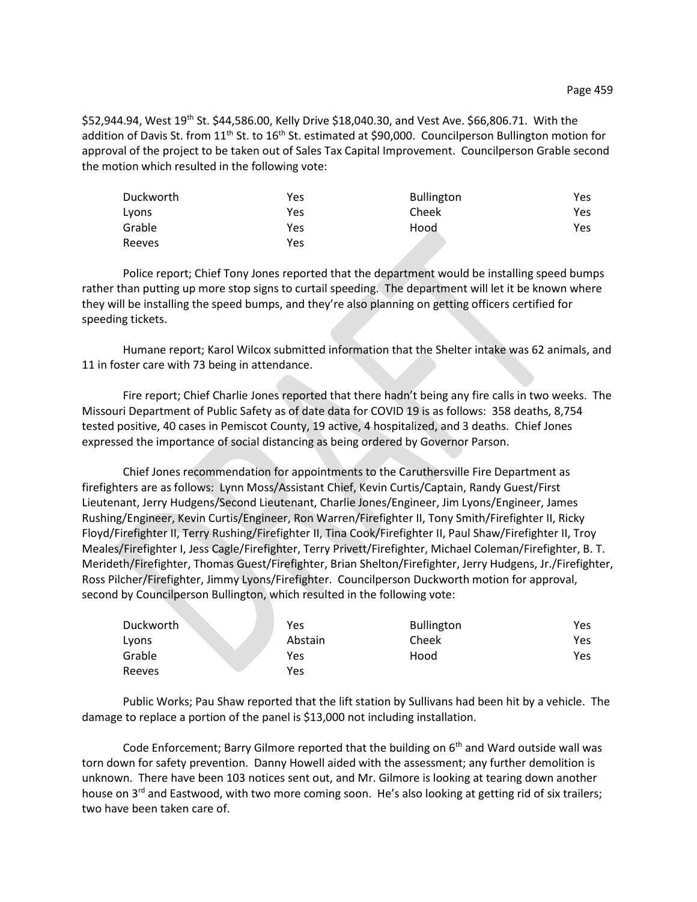\$52,944.94, West 19<sup>th</sup> St. \$44,586.00, Kelly Drive \$18,040.30, and Vest Ave. \$66,806.71. With the addition of Davis St. from 11<sup>th</sup> St. to 16<sup>th</sup> St. estimated at \$90,000. Councilperson Bullington motion for approval of the project to be taken out of Sales Tax Capital Improvement. Councilperson Grable second the motion which resulted in the following vote:

| Duckworth | Yes | <b>Bullington</b> | Yes |
|-----------|-----|-------------------|-----|
| Lyons     | Yes | Cheek             | Yes |
| Grable    | Yes | Hood              | Yes |
| Reeves    | Yes |                   |     |

Police report; Chief Tony Jones reported that the department would be installing speed bumps rather than putting up more stop signs to curtail speeding. The department will let it be known where they will be installing the speed bumps, and they're also planning on getting officers certified for speeding tickets.

Humane report; Karol Wilcox submitted information that the Shelter intake was 62 animals, and 11 in foster care with 73 being in attendance.

Fire report; Chief Charlie Jones reported that there hadn't being any fire calls in two weeks. The Missouri Department of Public Safety as of date data for COVID 19 is as follows: 358 deaths, 8,754 tested positive, 40 cases in Pemiscot County, 19 active, 4 hospitalized, and 3 deaths. Chief Jones expressed the importance of social distancing as being ordered by Governor Parson.

Chief Jones recommendation for appointments to the Caruthersville Fire Department as firefighters are as follows: Lynn Moss/Assistant Chief, Kevin Curtis/Captain, Randy Guest/First Lieutenant, Jerry Hudgens/Second Lieutenant, Charlie Jones/Engineer, Jim Lyons/Engineer, James Rushing/Engineer, Kevin Curtis/Engineer, Ron Warren/Firefighter II, Tony Smith/Firefighter II, Ricky Floyd/Firefighter II, Terry Rushing/Firefighter II, Tina Cook/Firefighter II, Paul Shaw/Firefighter II, Troy Meales/Firefighter I, Jess Cagle/Firefighter, Terry Privett/Firefighter, Michael Coleman/Firefighter, B. T. Merideth/Firefighter, Thomas Guest/Firefighter, Brian Shelton/Firefighter, Jerry Hudgens, Jr./Firefighter, Ross Pilcher/Firefighter, Jimmy Lyons/Firefighter. Councilperson Duckworth motion for approval, second by Councilperson Bullington, which resulted in the following vote:

| Duckworth | Yes     | <b>Bullington</b> | Yes |
|-----------|---------|-------------------|-----|
| Lyons     | Abstain | Cheek             | Yes |
| Grable    | Yes     | Hood              | Yes |
| Reeves    | Yes     |                   |     |

Public Works; Pau Shaw reported that the lift station by Sullivans had been hit by a vehicle. The damage to replace a portion of the panel is \$13,000 not including installation.

Code Enforcement; Barry Gilmore reported that the building on  $6<sup>th</sup>$  and Ward outside wall was torn down for safety prevention. Danny Howell aided with the assessment; any further demolition is unknown. There have been 103 notices sent out, and Mr. Gilmore is looking at tearing down another house on 3<sup>rd</sup> and Eastwood, with two more coming soon. He's also looking at getting rid of six trailers; two have been taken care of.